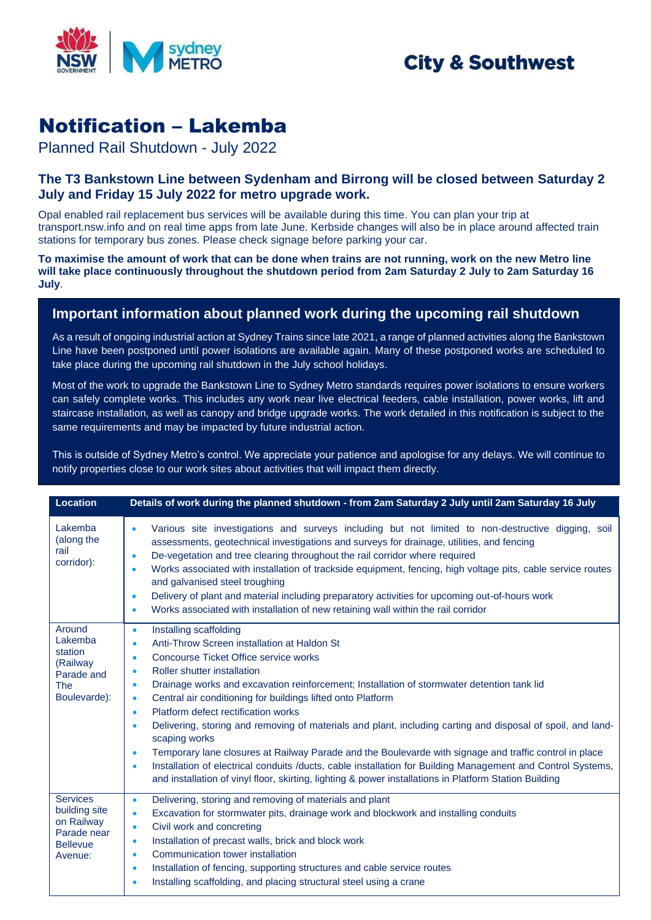

## **City & Southwest**

# Notification – Lakemba

Planned Rail Shutdown - July 2022

#### **The T3 Bankstown Line between Sydenham and Birrong will be closed between Saturday 2 July and Friday 15 July 2022 for metro upgrade work.**

Opal enabled rail replacement bus services will be available during this time. You can plan your trip at transport.nsw.info and on real time apps from late June. Kerbside changes will also be in place around affected train stations for temporary bus zones. Please check signage before parking your car.

**To maximise the amount of work that can be done when trains are not running, work on the new Metro line will take place continuously throughout the shutdown period from 2am Saturday 2 July to 2am Saturday 16 July**.

### **Important information about planned work during the upcoming rail shutdown**

As a result of ongoing industrial action at Sydney Trains since late 2021, a range of planned activities along the Bankstown Line have been postponed until power isolations are available again. Many of these postponed works are scheduled to take place during the upcoming rail shutdown in the July school holidays.

Most of the work to upgrade the Bankstown Line to Sydney Metro standards requires power isolations to ensure workers can safely complete works. This includes any work near live electrical feeders, cable installation, power works, lift and staircase installation, as well as canopy and bridge upgrade works. The work detailed in this notification is subject to the same requirements and may be impacted by future industrial action.

This is outside of Sydney Metro's control. We appreciate your patience and apologise for any delays. We will continue to notify properties close to our work sites about activities that will impact them directly.

| <b>Location</b>                                                                             | Details of work during the planned shutdown - from 2am Saturday 2 July until 2am Saturday 16 July                                                                                                                                                                                                                                                                                                                                                                                                                                                                                                                                                                                                                                                                                                                                                                                                                                                      |
|---------------------------------------------------------------------------------------------|--------------------------------------------------------------------------------------------------------------------------------------------------------------------------------------------------------------------------------------------------------------------------------------------------------------------------------------------------------------------------------------------------------------------------------------------------------------------------------------------------------------------------------------------------------------------------------------------------------------------------------------------------------------------------------------------------------------------------------------------------------------------------------------------------------------------------------------------------------------------------------------------------------------------------------------------------------|
| Lakemba<br>(along the<br>rail<br>corridor):                                                 | Various site investigations and surveys including but not limited to non-destructive digging, soil<br>$\bullet$<br>assessments, geotechnical investigations and surveys for drainage, utilities, and fencing<br>De-vegetation and tree clearing throughout the rail corridor where required<br>$\bullet$<br>Works associated with installation of trackside equipment, fencing, high voltage pits, cable service routes<br>$\bullet$<br>and galvanised steel troughing<br>Delivery of plant and material including preparatory activities for upcoming out-of-hours work<br>$\bullet$<br>Works associated with installation of new retaining wall within the rail corridor<br>$\bullet$                                                                                                                                                                                                                                                                |
| Around<br>Lakemba<br>station<br>(Railway<br>Parade and<br><b>The</b><br>Boulevarde):        | Installing scaffolding<br>$\bullet$<br>Anti-Throw Screen installation at Haldon St<br>$\bullet$<br>Concourse Ticket Office service works<br>$\bullet$<br>Roller shutter installation<br>$\bullet$<br>Drainage works and excavation reinforcement; Installation of stormwater detention tank lid<br>$\bullet$<br>Central air conditioning for buildings lifted onto Platform<br>$\bullet$<br>Platform defect rectification works<br>$\bullet$<br>Delivering, storing and removing of materials and plant, including carting and disposal of spoil, and land-<br>$\bullet$<br>scaping works<br>Temporary lane closures at Railway Parade and the Boulevarde with signage and traffic control in place<br>$\bullet$<br>Installation of electrical conduits /ducts, cable installation for Building Management and Control Systems,<br>$\bullet$<br>and installation of vinyl floor, skirting, lighting & power installations in Platform Station Building |
| <b>Services</b><br>building site<br>on Railway<br>Parade near<br><b>Bellevue</b><br>Avenue: | Delivering, storing and removing of materials and plant<br>$\bullet$<br>Excavation for stormwater pits, drainage work and blockwork and installing conduits<br>$\bullet$<br>Civil work and concreting<br>$\bullet$<br>Installation of precast walls, brick and block work<br>$\bullet$<br>Communication tower installation<br>$\bullet$<br>Installation of fencing, supporting structures and cable service routes<br>$\bullet$<br>Installing scaffolding, and placing structural steel using a crane<br>٠                                                                                                                                                                                                                                                                                                                                                                                                                                             |